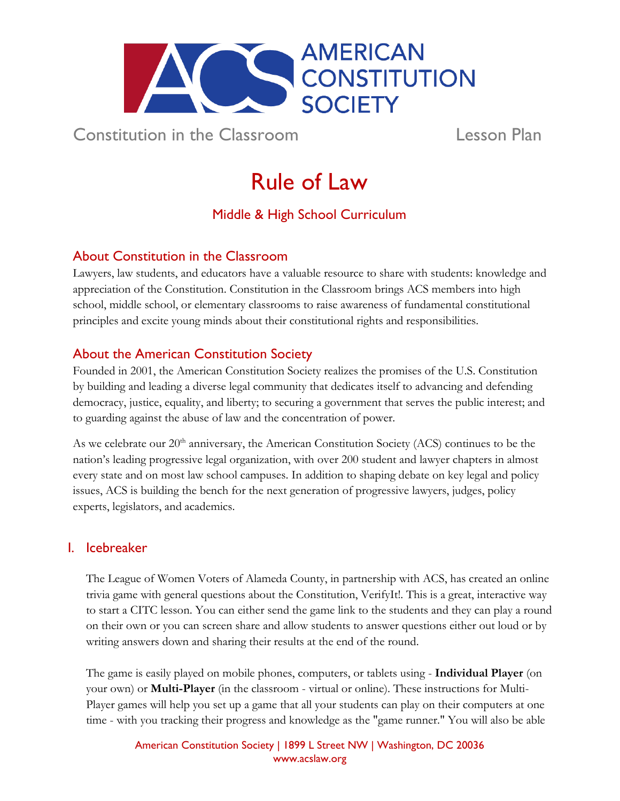

Constitution in the Classroom Lesson Plan

# Rule of Law

Middle & High School Curriculum

# About Constitution in the Classroom

Lawyers, law students, and educators have a valuable resource to share with students: knowledge and appreciation of the Constitution. Constitution in the Classroom brings ACS members into high school, middle school, or elementary classrooms to raise awareness of fundamental constitutional principles and excite young minds about their constitutional rights and responsibilities.

# About the American Constitution Society

Founded in 2001, the American Constitution Society realizes the promises of the U.S. Constitution by building and leading a diverse legal community that dedicates itself to advancing and defending democracy, justice, equality, and liberty; to securing a government that serves the public interest; and to guarding against the abuse of law and the concentration of power.

As we celebrate our  $20<sup>th</sup>$  anniversary, the American Constitution Society (ACS) continues to be the nation's leading progressive legal organization, with over 200 student and lawyer chapters in almost every state and on most law school campuses. In addition to shaping debate on key legal and policy issues, ACS is building the bench for the next generation of progressive lawyers, judges, policy experts, legislators, and academics.

# I. Icebreaker

The League of Women Voters of Alameda County, in partnership with ACS, has created an online trivia game with general questions about the Constitution, VerifyIt!. This is a great, interactive way to start a CITC lesson. You can either send the game link to the students and they can play a round on their own or you can screen share and allow students to answer questions either out loud or by writing answers down and sharing their results at the end of the round.

The game is easily played on mobile phones, computers, or tablets using - **Individual Player** (on your own) or **Multi-Player** (in the classroom - virtual or online). These instructions for Multi-Player games will help you set up a game that all your students can play on their computers at one time - with you tracking their progress and knowledge as the "game runner." You will also be able

> American Constitution Society | 1899 L Street NW | Washington, DC 20036 [www.acslaw.org](http://www.acslaw.org/)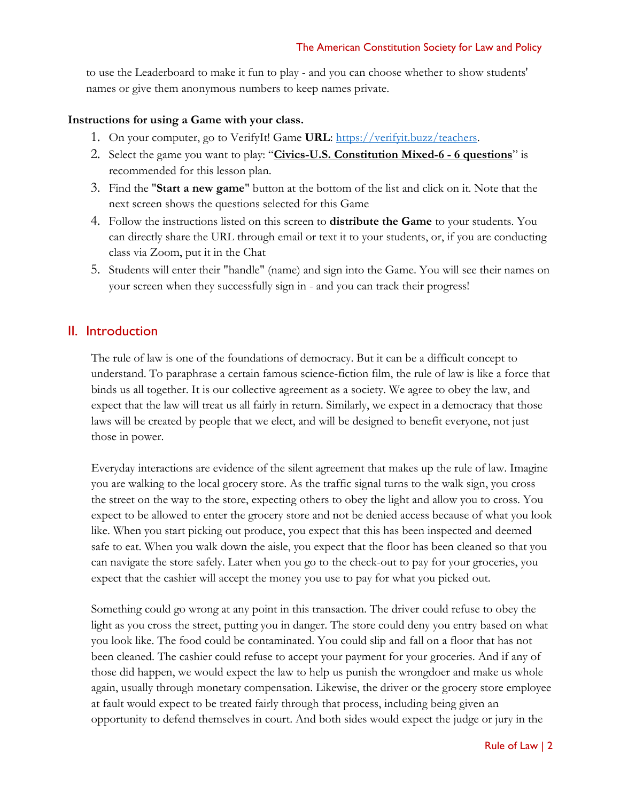to use the Leaderboard to make it fun to play - and you can choose whether to show students' names or give them anonymous numbers to keep names private.

#### **Instructions for using a Game with your class.**

- 1. On your computer, go to VerifyIt! Game **URL**: [https://verifyit.buzz/teachers.](https://verifyit.buzz/teachers)
- 2. Select the game you want to play: "**Civics-U.S. Constitution Mixed-6 - 6 questions**" is recommended for this lesson plan.
- 3. Find the "**Start a new game**" button at the bottom of the list and click on it. Note that the next screen shows the questions selected for this Game
- 4. Follow the instructions listed on this screen to **distribute the Game** to your students. You can directly share the URL through email or text it to your students, or, if you are conducting class via Zoom, put it in the Chat
- 5. Students will enter their "handle" (name) and sign into the Game. You will see their names on your screen when they successfully sign in - and you can track their progress!

## II. Introduction

The rule of law is one of the foundations of democracy. But it can be a difficult concept to understand. To paraphrase a certain famous science-fiction film, the rule of law is like a force that binds us all together. It is our collective agreement as a society. We agree to obey the law, and expect that the law will treat us all fairly in return. Similarly, we expect in a democracy that those laws will be created by people that we elect, and will be designed to benefit everyone, not just those in power.

Everyday interactions are evidence of the silent agreement that makes up the rule of law. Imagine you are walking to the local grocery store. As the traffic signal turns to the walk sign, you cross the street on the way to the store, expecting others to obey the light and allow you to cross. You expect to be allowed to enter the grocery store and not be denied access because of what you look like. When you start picking out produce, you expect that this has been inspected and deemed safe to eat. When you walk down the aisle, you expect that the floor has been cleaned so that you can navigate the store safely. Later when you go to the check-out to pay for your groceries, you expect that the cashier will accept the money you use to pay for what you picked out.

Something could go wrong at any point in this transaction. The driver could refuse to obey the light as you cross the street, putting you in danger. The store could deny you entry based on what you look like. The food could be contaminated. You could slip and fall on a floor that has not been cleaned. The cashier could refuse to accept your payment for your groceries. And if any of those did happen, we would expect the law to help us punish the wrongdoer and make us whole again, usually through monetary compensation. Likewise, the driver or the grocery store employee at fault would expect to be treated fairly through that process, including being given an opportunity to defend themselves in court. And both sides would expect the judge or jury in the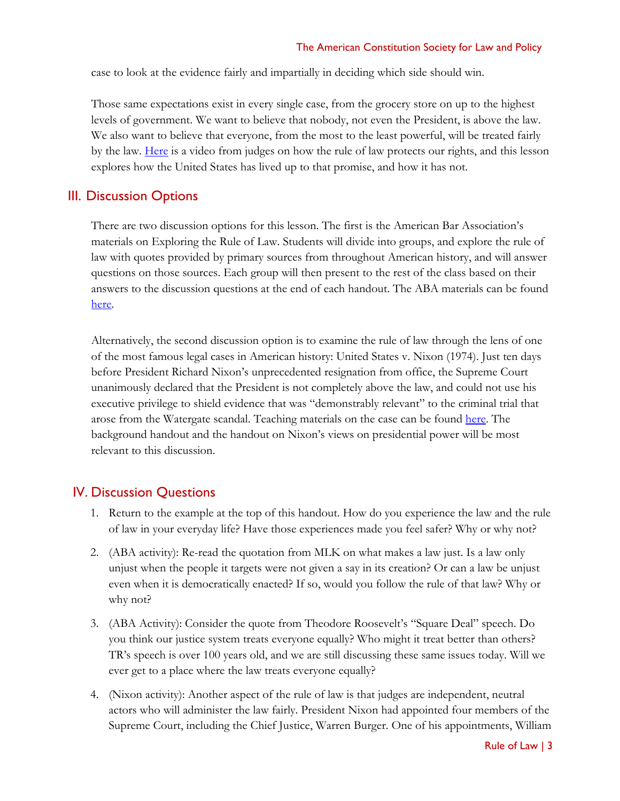case to look at the evidence fairly and impartially in deciding which side should win.

Those same expectations exist in every single case, from the grocery store on up to the highest levels of government. We want to believe that nobody, not even the President, is above the law. We also want to believe that everyone, from the most to the least powerful, will be treated fairly by the law. [Here](https://www.youtube.com/watch?v=bmAKAHDSnGs) is a video from judges on how the rule of law protects our rights, and this lesson explores how the United States has lived up to that promise, and how it has not.

## III. Discussion Options

There are two discussion options for this lesson. The first is the American Bar Association's materials on Exploring the Rule of Law. Students will divide into groups, and explore the rule of law with quotes provided by primary sources from throughout American history, and will answer questions on those sources. Each group will then present to the rest of the class based on their answers to the discussion questions at the end of each handout. The ABA materials can be found [here.](https://www.americanbar.org/groups/public_education/law-day/law-day-2021/planning-guide/exploring-the-rule-of-law/)

Alternatively, the second discussion option is to examine the rule of law through the lens of one of the most famous legal cases in American history: United States v. Nixon (1974). Just ten days before President Richard Nixon's unprecedented resignation from office, the Supreme Court unanimously declared that the President is not completely above the law, and could not use his executive privilege to shield evidence that was "demonstrably relevant" to the criminal trial that arose from the Watergate scandal. Teaching materials on the case can be found [here.](https://www.landmarkcases.org/cases/united-states-v-nixon) The background handout and the handout on Nixon's views on presidential power will be most relevant to this discussion.

## IV. Discussion Questions

- 1. Return to the example at the top of this handout. How do you experience the law and the rule of law in your everyday life? Have those experiences made you feel safer? Why or why not?
- 2. (ABA activity): Re-read the quotation from MLK on what makes a law just. Is a law only unjust when the people it targets were not given a say in its creation? Or can a law be unjust even when it is democratically enacted? If so, would you follow the rule of that law? Why or why not?
- 3. (ABA Activity): Consider the quote from Theodore Roosevelt's "Square Deal" speech. Do you think our justice system treats everyone equally? Who might it treat better than others? TR's speech is over 100 years old, and we are still discussing these same issues today. Will we ever get to a place where the law treats everyone equally?
- 4. (Nixon activity): Another aspect of the rule of law is that judges are independent, neutral actors who will administer the law fairly. President Nixon had appointed four members of the Supreme Court, including the Chief Justice, Warren Burger. One of his appointments, William